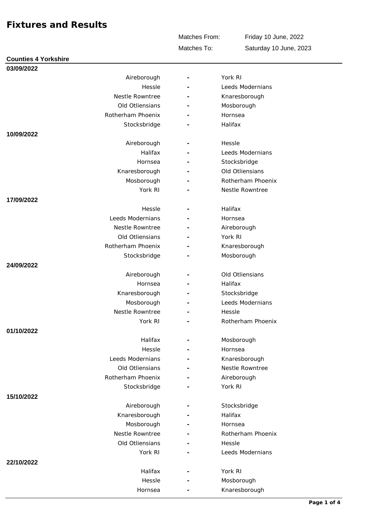Matches From:

Friday 10 June, 2022 Saturday 10 June, 2023

Matches To:

| <b>Counties 4 Yorkshire</b> |   |                   |
|-----------------------------|---|-------------------|
| 03/09/2022                  |   |                   |
| Aireborough                 |   | York RI           |
| Hessle                      |   | Leeds Modernians  |
| Nestle Rowntree             |   | Knaresborough     |
| Old Otliensians             |   | Mosborough        |
| Rotherham Phoenix           |   | Hornsea           |
| Stocksbridge                |   | Halifax           |
| 10/09/2022                  |   |                   |
| Aireborough                 |   | Hessle            |
| Halifax                     |   | Leeds Modernians  |
| Hornsea                     |   | Stocksbridge      |
| Knaresborough               |   | Old Otliensians   |
| Mosborough                  |   | Rotherham Phoenix |
| York RI                     |   | Nestle Rowntree   |
| 17/09/2022                  |   |                   |
| Hessle                      |   | Halifax           |
| Leeds Modernians            |   | Hornsea           |
| Nestle Rowntree             |   | Aireborough       |
| Old Otliensians             |   | York RI           |
| Rotherham Phoenix           |   | Knaresborough     |
| Stocksbridge                |   | Mosborough        |
| 24/09/2022                  |   |                   |
| Aireborough                 |   | Old Otliensians   |
| Hornsea                     | ۰ | Halifax           |
| Knaresborough               |   | Stocksbridge      |
| Mosborough                  |   | Leeds Modernians  |
| Nestle Rowntree             |   | Hessle            |
| York RI                     |   | Rotherham Phoenix |
| 01/10/2022                  |   |                   |
| Halifax                     |   | Mosborough        |
| Hessle                      |   | Hornsea           |
| Leeds Modernians            |   | Knaresborough     |
| Old Otliensians             |   | Nestle Rowntree   |
| Rotherham Phoenix           | ۰ | Aireborough       |
| Stocksbridge                |   | York RI           |
| 15/10/2022                  |   |                   |
| Aireborough                 |   | Stocksbridge      |
| Knaresborough               |   | Halifax           |
| Mosborough                  |   | Hornsea           |
| Nestle Rowntree             |   | Rotherham Phoenix |
| Old Otliensians             |   | Hessle            |
| York RI                     |   | Leeds Modernians  |
| 22/10/2022                  |   |                   |
| Halifax                     |   | York RI           |
| Hessle                      |   | Mosborough        |
| Hornsea                     |   | Knaresborough     |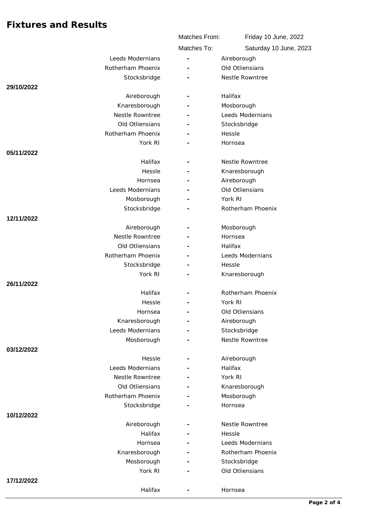|                   | Matches From:  | Friday 10 June, 2022   |
|-------------------|----------------|------------------------|
|                   | Matches To:    | Saturday 10 June, 2023 |
| Leeds Modernians  |                | Aireborough            |
| Rotherham Phoenix |                | Old Otliensians        |
| Stocksbridge      |                | Nestle Rowntree        |
| 29/10/2022        |                |                        |
| Aireborough       |                | Halifax                |
| Knaresborough     |                | Mosborough             |
| Nestle Rowntree   |                | Leeds Modernians       |
| Old Otliensians   |                | Stocksbridge           |
| Rotherham Phoenix |                | Hessle                 |
| York RI           |                | Hornsea                |
| 05/11/2022        |                |                        |
| Halifax           | $\overline{a}$ | Nestle Rowntree        |
| Hessle            |                | Knaresborough          |
| Hornsea           |                | Aireborough            |
| Leeds Modernians  |                | Old Otliensians        |
| Mosborough        |                | York RI                |
| Stocksbridge      |                | Rotherham Phoenix      |
| 12/11/2022        |                |                        |
| Aireborough       |                | Mosborough             |
| Nestle Rowntree   |                | Hornsea                |
| Old Otliensians   |                | Halifax                |
| Rotherham Phoenix |                | Leeds Modernians       |
| Stocksbridge      |                | Hessle                 |
| York RI           |                | Knaresborough          |
| 26/11/2022        |                |                        |
| Halifax           |                | Rotherham Phoenix      |
| Hessle            |                | York RI                |
| Hornsea           |                | Old Otliensians        |
| Knaresborough     |                | Aireborough            |
| Leeds Modernians  |                | Stocksbridge           |
| Mosborough        |                | Nestle Rowntree        |
| 03/12/2022        |                |                        |
| Hessle            |                | Aireborough            |
| Leeds Modernians  |                | Halifax                |
| Nestle Rowntree   |                | York RI                |
| Old Otliensians   |                | Knaresborough          |
| Rotherham Phoenix |                | Mosborough             |
| Stocksbridge      |                | Hornsea                |
| 10/12/2022        |                |                        |
| Aireborough       |                | Nestle Rowntree        |
| Halifax           |                | Hessle                 |
| Hornsea           |                | Leeds Modernians       |
| Knaresborough     |                | Rotherham Phoenix      |
| Mosborough        |                | Stocksbridge           |
| York RI           |                | Old Otliensians        |
| 17/12/2022        |                |                        |
| Halifax           |                | Hornsea                |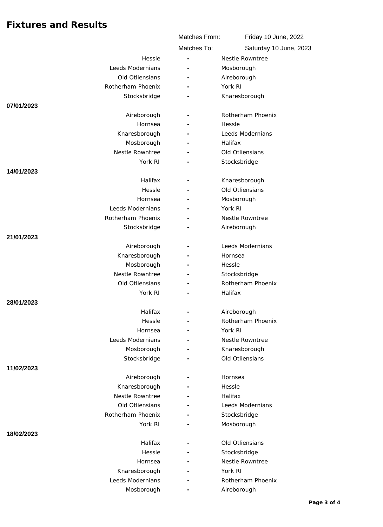|                               | Matches From: | Friday 10 June, 2022              |
|-------------------------------|---------------|-----------------------------------|
|                               | Matches To:   | Saturday 10 June, 2023            |
| Hessle                        |               | Nestle Rowntree                   |
| Leeds Modernians              |               | Mosborough                        |
| Old Otliensians               |               | Aireborough                       |
| Rotherham Phoenix             |               | York RI                           |
| Stocksbridge                  |               | Knaresborough                     |
| 07/01/2023                    |               |                                   |
| Aireborough                   |               | Rotherham Phoenix                 |
| Hornsea                       |               | Hessle                            |
| Knaresborough                 |               | Leeds Modernians                  |
| Mosborough                    |               | Halifax                           |
| Nestle Rowntree               |               | Old Otliensians                   |
| York RI                       |               | Stocksbridge                      |
| 14/01/2023                    |               |                                   |
| Halifax                       |               | Knaresborough                     |
| Hessle                        |               | Old Otliensians                   |
| Hornsea                       |               | Mosborough                        |
| Leeds Modernians              |               | York RI                           |
| Rotherham Phoenix             |               | Nestle Rowntree                   |
| Stocksbridge                  |               | Aireborough                       |
| 21/01/2023                    |               |                                   |
| Aireborough                   |               | Leeds Modernians                  |
| Knaresborough                 |               | Hornsea                           |
| Mosborough<br>Nestle Rowntree |               | Hessle                            |
| Old Otliensians               |               | Stocksbridge<br>Rotherham Phoenix |
| York RI                       |               | Halifax                           |
| 28/01/2023                    |               |                                   |
| Halifax                       |               | Aireborough                       |
| Hessle                        |               | Rotherham Phoenix                 |
| Hornsea                       |               | York RI                           |
| Leeds Modernians              |               | Nestle Rowntree                   |
| Mosborough                    |               | Knaresborough                     |
| Stocksbridge                  |               | Old Otliensians                   |
| 11/02/2023                    |               |                                   |
| Aireborough                   |               | Hornsea                           |
| Knaresborough                 |               | Hessle                            |
| Nestle Rowntree               |               | Halifax                           |
| Old Otliensians               |               | Leeds Modernians                  |
| Rotherham Phoenix             |               | Stocksbridge                      |
| York RI                       |               | Mosborough                        |
| 18/02/2023                    |               |                                   |
| Halifax                       |               | Old Otliensians                   |
| Hessle                        |               | Stocksbridge                      |
| Hornsea                       |               | Nestle Rowntree                   |
| Knaresborough                 |               | York RI                           |
| Leeds Modernians              |               | Rotherham Phoenix                 |
| Mosborough                    |               | Aireborough                       |